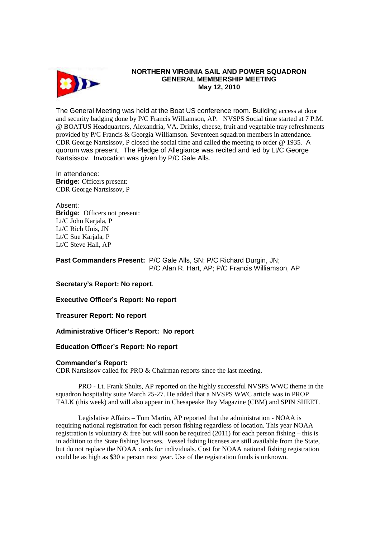

## **NORTHERN VIRGINIA SAIL AND POWER SQUADRON GENERAL MEMBERSHIP MEETING May 12, 2010**

The General Meeting was held at the Boat US conference room. Building access at door and security badging done by P/C Francis Williamson, AP. NVSPS Social time started at 7 P.M. @ BOATUS Headquarters, Alexandria, VA. Drinks, cheese, fruit and vegetable tray refreshments provided by P/C Francis & Georgia Williamson. Seventeen squadron members in attendance. CDR George Nartsissov, P closed the social time and called the meeting to order @ 1935. A quorum was present. The Pledge of Allegiance was recited and led by Lt/C George Nartsissov. Invocation was given by P/C Gale Alls.

In attendance: **Bridge:** Officers present: CDR George Nartsissov, P

Absent: **Bridge:** Officers not present: Lt/C John Karjala, P Lt/C Rich Unis, JN Lt/C Sue Kariala, P Lt/C Steve Hall, AP

**Past Commanders Present:** P/C Gale Alls, SN; P/C Richard Durgin, JN; P/C Alan R. Hart, AP; P/C Francis Williamson, AP

**Secretary's Report: No report**.

**Executive Officer's Report: No report** 

**Treasurer Report: No report** 

**Administrative Officer's Report: No report** 

## **Education Officer's Report: No report**

## **Commander's Report:**

CDR Nartsissov called for PRO & Chairman reports since the last meeting.

 PRO - Lt. Frank Shults, AP reported on the highly successful NVSPS WWC theme in the squadron hospitality suite March 25-27. He added that a NVSPS WWC article was in PROP TALK (this week) and will also appear in Chesapeake Bay Magazine (CBM) and SPIN SHEET.

 Legislative Affairs – Tom Martin, AP reported that the administration - NOAA is requiring national registration for each person fishing regardless of location. This year NOAA registration is voluntary  $\&$  free but will soon be required (2011) for each person fishing – this is in addition to the State fishing licenses. Vessel fishing licenses are still available from the State, but do not replace the NOAA cards for individuals. Cost for NOAA national fishing registration could be as high as \$30 a person next year. Use of the registration funds is unknown.